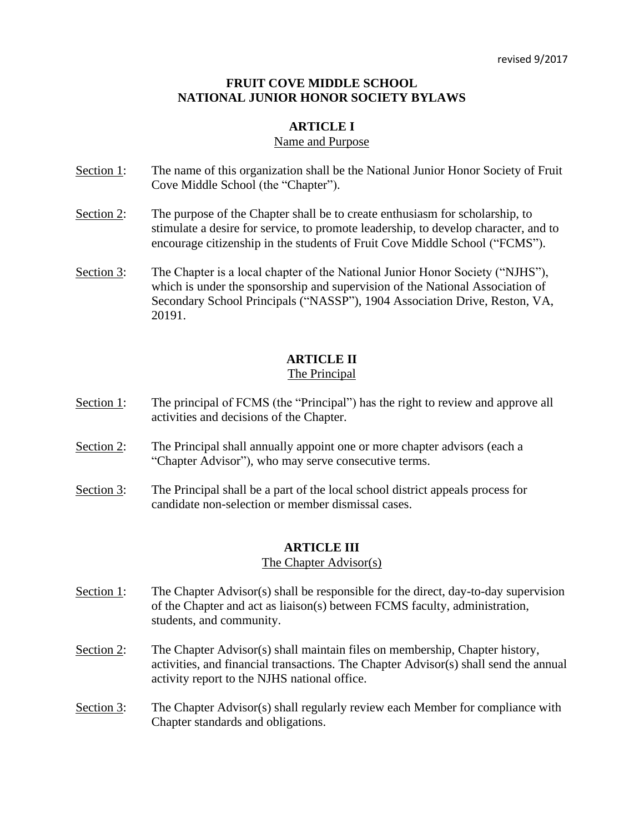## **FRUIT COVE MIDDLE SCHOOL NATIONAL JUNIOR HONOR SOCIETY BYLAWS**

## **ARTICLE I**

#### Name and Purpose

- Section 1: The name of this organization shall be the National Junior Honor Society of Fruit Cove Middle School (the "Chapter").
- Section 2: The purpose of the Chapter shall be to create enthusiasm for scholarship, to stimulate a desire for service, to promote leadership, to develop character, and to encourage citizenship in the students of Fruit Cove Middle School ("FCMS").
- Section 3: The Chapter is a local chapter of the National Junior Honor Society ("NJHS"), which is under the sponsorship and supervision of the National Association of Secondary School Principals ("NASSP"), 1904 Association Drive, Reston, VA, 20191.

## **ARTICLE II**

#### The Principal

- Section 1: The principal of FCMS (the "Principal") has the right to review and approve all activities and decisions of the Chapter.
- Section 2: The Principal shall annually appoint one or more chapter advisors (each a "Chapter Advisor"), who may serve consecutive terms.
- Section 3: The Principal shall be a part of the local school district appeals process for candidate non-selection or member dismissal cases.

## **ARTICLE III**

#### The Chapter Advisor(s)

- Section 1: The Chapter Advisor(s) shall be responsible for the direct, day-to-day supervision of the Chapter and act as liaison(s) between FCMS faculty, administration, students, and community.
- Section 2: The Chapter Advisor(s) shall maintain files on membership, Chapter history, activities, and financial transactions. The Chapter Advisor(s) shall send the annual activity report to the NJHS national office.
- Section 3: The Chapter Advisor(s) shall regularly review each Member for compliance with Chapter standards and obligations.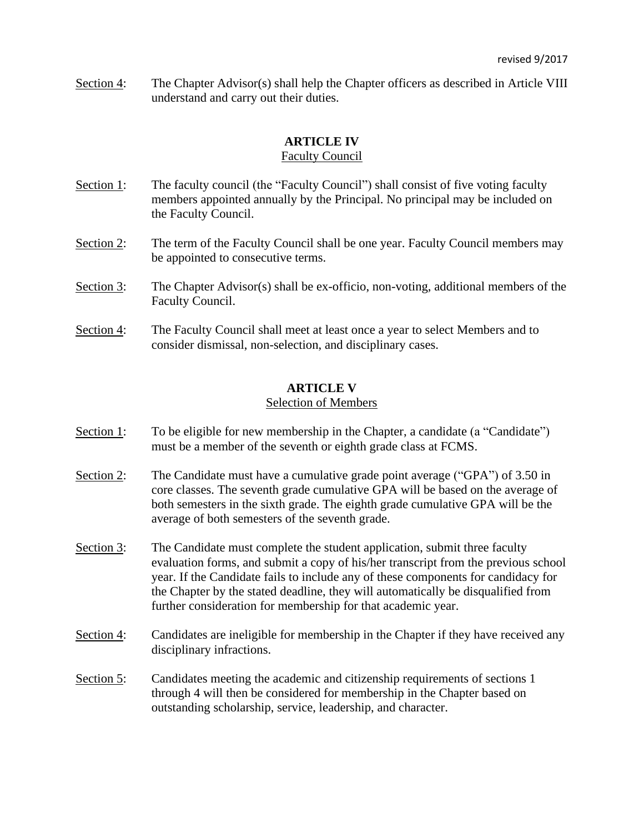Section 4: The Chapter Advisor(s) shall help the Chapter officers as described in Article VIII understand and carry out their duties.

## **ARTICLE IV**

## Faculty Council

- Section 1: The faculty council (the "Faculty Council") shall consist of five voting faculty members appointed annually by the Principal. No principal may be included on the Faculty Council.
- Section 2: The term of the Faculty Council shall be one year. Faculty Council members may be appointed to consecutive terms.
- Section 3: The Chapter Advisor(s) shall be ex-officio, non-voting, additional members of the Faculty Council.
- Section 4: The Faculty Council shall meet at least once a year to select Members and to consider dismissal, non-selection, and disciplinary cases.

## **ARTICLE V**

## Selection of Members

- Section 1: To be eligible for new membership in the Chapter, a candidate (a "Candidate") must be a member of the seventh or eighth grade class at FCMS.
- Section 2: The Candidate must have a cumulative grade point average ("GPA") of 3.50 in core classes. The seventh grade cumulative GPA will be based on the average of both semesters in the sixth grade. The eighth grade cumulative GPA will be the average of both semesters of the seventh grade.
- Section 3: The Candidate must complete the student application, submit three faculty evaluation forms, and submit a copy of his/her transcript from the previous school year. If the Candidate fails to include any of these components for candidacy for the Chapter by the stated deadline, they will automatically be disqualified from further consideration for membership for that academic year.
- Section 4: Candidates are ineligible for membership in the Chapter if they have received any disciplinary infractions.
- Section 5: Candidates meeting the academic and citizenship requirements of sections 1 through 4 will then be considered for membership in the Chapter based on outstanding scholarship, service, leadership, and character.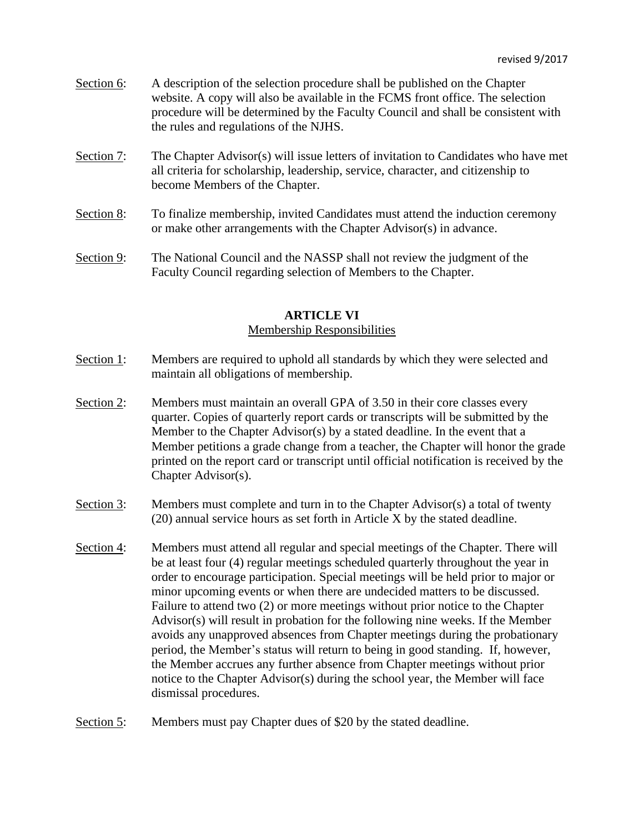- Section 6: A description of the selection procedure shall be published on the Chapter website. A copy will also be available in the FCMS front office. The selection procedure will be determined by the Faculty Council and shall be consistent with the rules and regulations of the NJHS.
- Section 7: The Chapter Advisor(s) will issue letters of invitation to Candidates who have met all criteria for scholarship, leadership, service, character, and citizenship to become Members of the Chapter.
- Section 8: To finalize membership, invited Candidates must attend the induction ceremony or make other arrangements with the Chapter Advisor(s) in advance.
- Section 9: The National Council and the NASSP shall not review the judgment of the Faculty Council regarding selection of Members to the Chapter.

#### **ARTICLE VI**

#### Membership Responsibilities

- Section 1: Members are required to uphold all standards by which they were selected and maintain all obligations of membership.
- Section 2: Members must maintain an overall GPA of 3.50 in their core classes every quarter. Copies of quarterly report cards or transcripts will be submitted by the Member to the Chapter Advisor(s) by a stated deadline. In the event that a Member petitions a grade change from a teacher, the Chapter will honor the grade printed on the report card or transcript until official notification is received by the Chapter Advisor(s).
- Section 3: Members must complete and turn in to the Chapter Advisor(s) a total of twenty (20) annual service hours as set forth in Article X by the stated deadline.
- Section 4: Members must attend all regular and special meetings of the Chapter. There will be at least four (4) regular meetings scheduled quarterly throughout the year in order to encourage participation. Special meetings will be held prior to major or minor upcoming events or when there are undecided matters to be discussed. Failure to attend two (2) or more meetings without prior notice to the Chapter Advisor(s) will result in probation for the following nine weeks. If the Member avoids any unapproved absences from Chapter meetings during the probationary period, the Member's status will return to being in good standing. If, however, the Member accrues any further absence from Chapter meetings without prior notice to the Chapter Advisor(s) during the school year, the Member will face dismissal procedures.
- Section 5: Members must pay Chapter dues of \$20 by the stated deadline.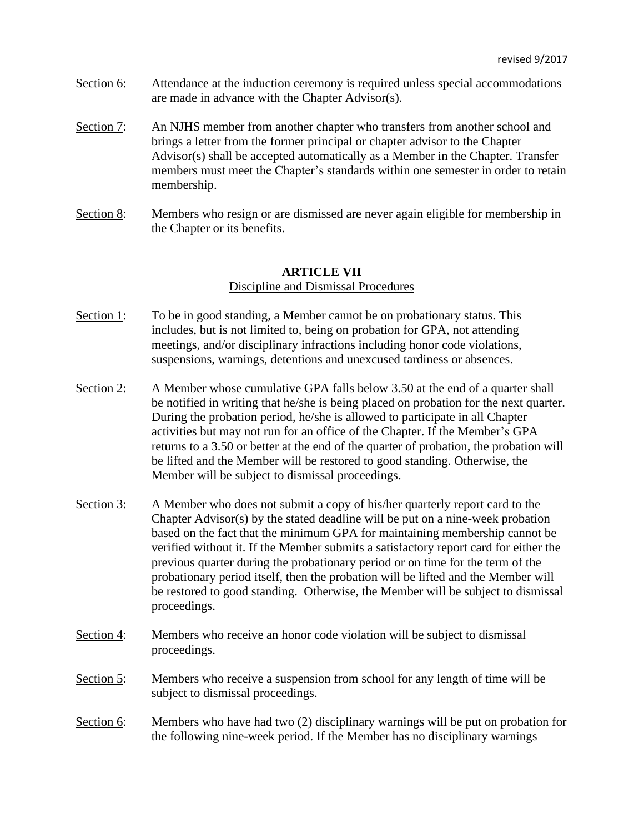- Section 6: Attendance at the induction ceremony is required unless special accommodations are made in advance with the Chapter Advisor(s).
- Section 7: An NJHS member from another chapter who transfers from another school and brings a letter from the former principal or chapter advisor to the Chapter Advisor(s) shall be accepted automatically as a Member in the Chapter. Transfer members must meet the Chapter's standards within one semester in order to retain membership.
- Section 8: Members who resign or are dismissed are never again eligible for membership in the Chapter or its benefits.

## **ARTICLE VII** Discipline and Dismissal Procedures

- Section 1: To be in good standing, a Member cannot be on probationary status. This includes, but is not limited to, being on probation for GPA, not attending meetings, and/or disciplinary infractions including honor code violations, suspensions, warnings, detentions and unexcused tardiness or absences.
- Section 2: A Member whose cumulative GPA falls below 3.50 at the end of a quarter shall be notified in writing that he/she is being placed on probation for the next quarter. During the probation period, he/she is allowed to participate in all Chapter activities but may not run for an office of the Chapter. If the Member's GPA returns to a 3.50 or better at the end of the quarter of probation, the probation will be lifted and the Member will be restored to good standing. Otherwise, the Member will be subject to dismissal proceedings.
- Section 3: A Member who does not submit a copy of his/her quarterly report card to the Chapter Advisor(s) by the stated deadline will be put on a nine-week probation based on the fact that the minimum GPA for maintaining membership cannot be verified without it. If the Member submits a satisfactory report card for either the previous quarter during the probationary period or on time for the term of the probationary period itself, then the probation will be lifted and the Member will be restored to good standing. Otherwise, the Member will be subject to dismissal proceedings.
- Section 4: Members who receive an honor code violation will be subject to dismissal proceedings.
- Section 5: Members who receive a suspension from school for any length of time will be subject to dismissal proceedings.
- Section 6: Members who have had two (2) disciplinary warnings will be put on probation for the following nine-week period. If the Member has no disciplinary warnings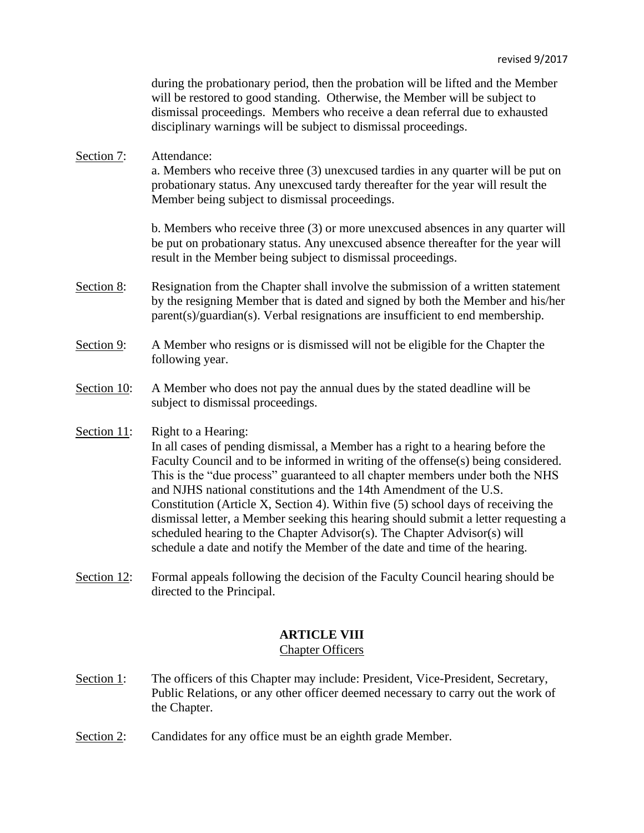during the probationary period, then the probation will be lifted and the Member will be restored to good standing. Otherwise, the Member will be subject to dismissal proceedings. Members who receive a dean referral due to exhausted disciplinary warnings will be subject to dismissal proceedings.

Section 7: Attendance: a. Members who receive three (3) unexcused tardies in any quarter will be put on probationary status. Any unexcused tardy thereafter for the year will result the Member being subject to dismissal proceedings.

> b. Members who receive three (3) or more unexcused absences in any quarter will be put on probationary status. Any unexcused absence thereafter for the year will result in the Member being subject to dismissal proceedings.

- Section 8: Resignation from the Chapter shall involve the submission of a written statement by the resigning Member that is dated and signed by both the Member and his/her parent(s)/guardian(s). Verbal resignations are insufficient to end membership.
- Section 9: A Member who resigns or is dismissed will not be eligible for the Chapter the following year.
- Section 10: A Member who does not pay the annual dues by the stated deadline will be subject to dismissal proceedings.
- Section 11: Right to a Hearing:

In all cases of pending dismissal, a Member has a right to a hearing before the Faculty Council and to be informed in writing of the offense(s) being considered. This is the "due process" guaranteed to all chapter members under both the NHS and NJHS national constitutions and the 14th Amendment of the U.S. Constitution (Article X, Section 4). Within five (5) school days of receiving the dismissal letter, a Member seeking this hearing should submit a letter requesting a scheduled hearing to the Chapter Advisor(s). The Chapter Advisor(s) will schedule a date and notify the Member of the date and time of the hearing.

Section 12: Formal appeals following the decision of the Faculty Council hearing should be directed to the Principal.

## **ARTICLE VIII**

#### Chapter Officers

- Section 1: The officers of this Chapter may include: President, Vice-President, Secretary, Public Relations, or any other officer deemed necessary to carry out the work of the Chapter.
- Section 2: Candidates for any office must be an eighth grade Member.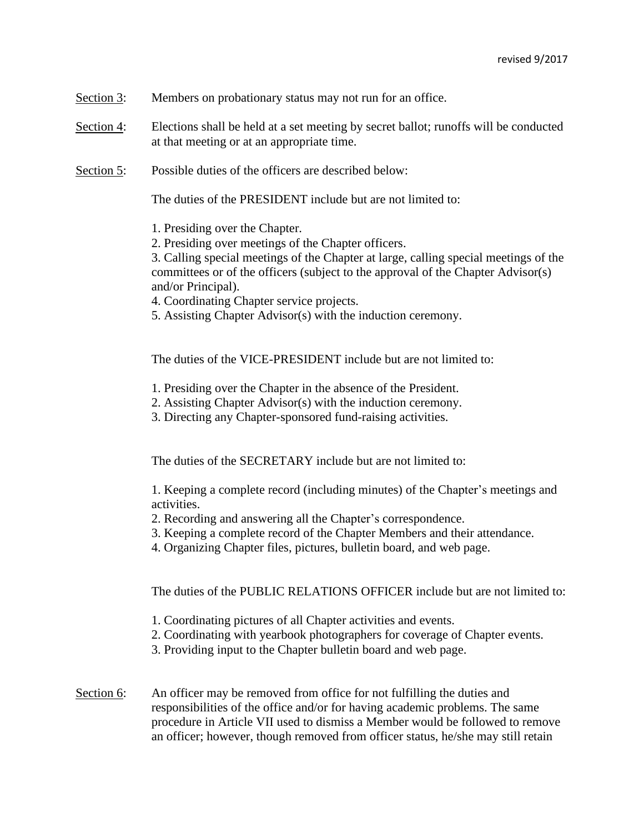- Section 3: Members on probationary status may not run for an office.
- Section 4: Elections shall be held at a set meeting by secret ballot; runoffs will be conducted at that meeting or at an appropriate time.
- Section 5: Possible duties of the officers are described below:

The duties of the PRESIDENT include but are not limited to:

- 1. Presiding over the Chapter.
- 2. Presiding over meetings of the Chapter officers.

3. Calling special meetings of the Chapter at large, calling special meetings of the committees or of the officers (subject to the approval of the Chapter Advisor(s) and/or Principal).

- 4. Coordinating Chapter service projects.
- 5. Assisting Chapter Advisor(s) with the induction ceremony.

The duties of the VICE-PRESIDENT include but are not limited to:

- 1. Presiding over the Chapter in the absence of the President.
- 2. Assisting Chapter Advisor(s) with the induction ceremony.
- 3. Directing any Chapter-sponsored fund-raising activities.

The duties of the SECRETARY include but are not limited to:

1. Keeping a complete record (including minutes) of the Chapter's meetings and activities.

- 2. Recording and answering all the Chapter's correspondence.
- 3. Keeping a complete record of the Chapter Members and their attendance.
- 4. Organizing Chapter files, pictures, bulletin board, and web page.

The duties of the PUBLIC RELATIONS OFFICER include but are not limited to:

- 1. Coordinating pictures of all Chapter activities and events.
- 2. Coordinating with yearbook photographers for coverage of Chapter events.
- 3. Providing input to the Chapter bulletin board and web page.
- Section 6: An officer may be removed from office for not fulfilling the duties and responsibilities of the office and/or for having academic problems. The same procedure in Article VII used to dismiss a Member would be followed to remove an officer; however, though removed from officer status, he/she may still retain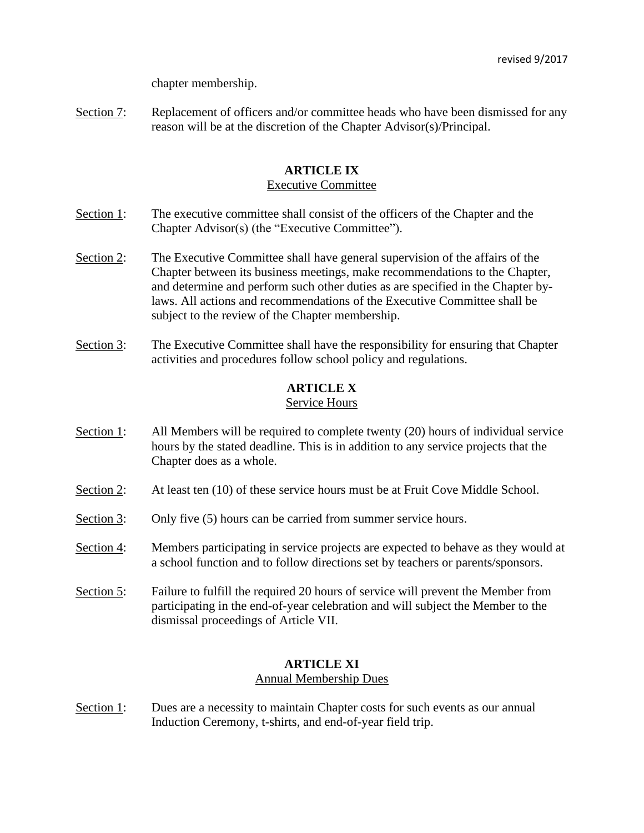chapter membership.

Section 7: Replacement of officers and/or committee heads who have been dismissed for any reason will be at the discretion of the Chapter Advisor(s)/Principal.

## **ARTICLE IX**

## Executive Committee

- Section 1: The executive committee shall consist of the officers of the Chapter and the Chapter Advisor(s) (the "Executive Committee").
- Section 2: The Executive Committee shall have general supervision of the affairs of the Chapter between its business meetings, make recommendations to the Chapter, and determine and perform such other duties as are specified in the Chapter bylaws. All actions and recommendations of the Executive Committee shall be subject to the review of the Chapter membership.
- Section 3: The Executive Committee shall have the responsibility for ensuring that Chapter activities and procedures follow school policy and regulations.

## **ARTICLE X**

## Service Hours

- Section 1: All Members will be required to complete twenty (20) hours of individual service hours by the stated deadline. This is in addition to any service projects that the Chapter does as a whole.
- Section 2: At least ten (10) of these service hours must be at Fruit Cove Middle School.
- Section 3: Only five (5) hours can be carried from summer service hours.
- Section 4: Members participating in service projects are expected to behave as they would at a school function and to follow directions set by teachers or parents/sponsors.
- Section 5: Failure to fulfill the required 20 hours of service will prevent the Member from participating in the end-of-year celebration and will subject the Member to the dismissal proceedings of Article VII.

## **ARTICLE XI**

#### Annual Membership Dues

Section 1: Dues are a necessity to maintain Chapter costs for such events as our annual Induction Ceremony, t-shirts, and end-of-year field trip.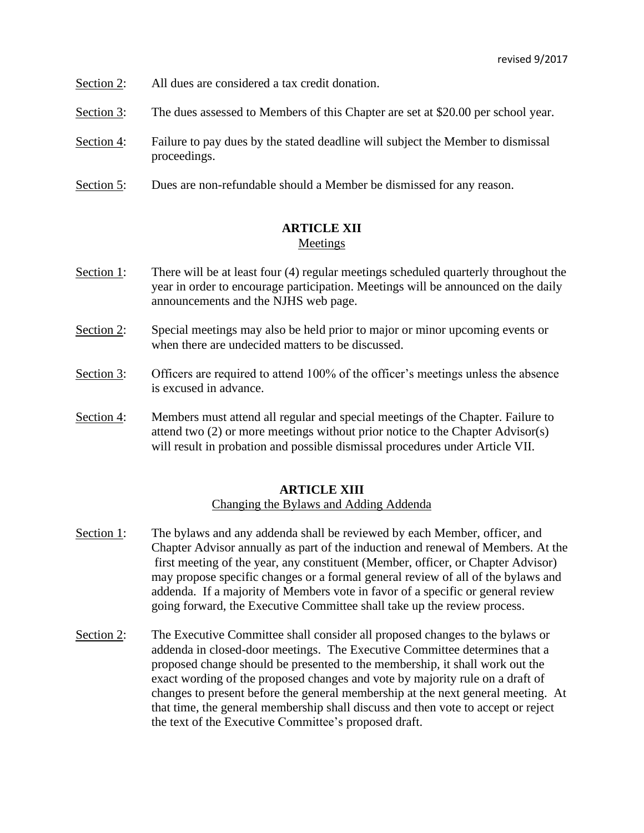- Section 2: All dues are considered a tax credit donation.
- Section 3: The dues assessed to Members of this Chapter are set at \$20.00 per school year.
- Section 4: Failure to pay dues by the stated deadline will subject the Member to dismissal proceedings.
- Section 5: Dues are non-refundable should a Member be dismissed for any reason.

## **ARTICLE XII** Meetings

- Section 1: There will be at least four (4) regular meetings scheduled quarterly throughout the year in order to encourage participation. Meetings will be announced on the daily announcements and the NJHS web page.
- Section 2: Special meetings may also be held prior to major or minor upcoming events or when there are undecided matters to be discussed.
- Section 3: Officers are required to attend 100% of the officer's meetings unless the absence is excused in advance.
- Section 4: Members must attend all regular and special meetings of the Chapter. Failure to attend two (2) or more meetings without prior notice to the Chapter Advisor(s) will result in probation and possible dismissal procedures under Article VII.

# **ARTICLE XIII**

## Changing the Bylaws and Adding Addenda

- Section 1: The bylaws and any addenda shall be reviewed by each Member, officer, and Chapter Advisor annually as part of the induction and renewal of Members. At the first meeting of the year, any constituent (Member, officer, or Chapter Advisor) may propose specific changes or a formal general review of all of the bylaws and addenda. If a majority of Members vote in favor of a specific or general review going forward, the Executive Committee shall take up the review process.
- Section 2: The Executive Committee shall consider all proposed changes to the bylaws or addenda in closed-door meetings. The Executive Committee determines that a proposed change should be presented to the membership, it shall work out the exact wording of the proposed changes and vote by majority rule on a draft of changes to present before the general membership at the next general meeting. At that time, the general membership shall discuss and then vote to accept or reject the text of the Executive Committee's proposed draft.